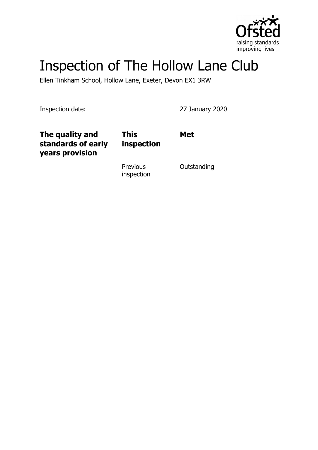

# Inspection of The Hollow Lane Club

Ellen Tinkham School, Hollow Lane, Exeter, Devon EX1 3RW

Inspection date: 27 January 2020

| The quality and<br>standards of early<br>years provision | <b>This</b><br>inspection | <b>Met</b>  |
|----------------------------------------------------------|---------------------------|-------------|
|                                                          | Previous<br>inspection    | Outstanding |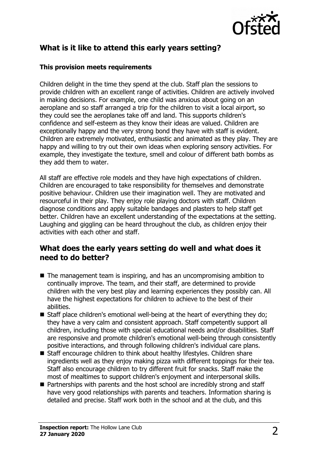

## **What is it like to attend this early years setting?**

#### **This provision meets requirements**

Children delight in the time they spend at the club. Staff plan the sessions to provide children with an excellent range of activities. Children are actively involved in making decisions. For example, one child was anxious about going on an aeroplane and so staff arranged a trip for the children to visit a local airport, so they could see the aeroplanes take off and land. This supports children's confidence and self-esteem as they know their ideas are valued. Children are exceptionally happy and the very strong bond they have with staff is evident. Children are extremely motivated, enthusiastic and animated as they play. They are happy and willing to try out their own ideas when exploring sensory activities. For example, they investigate the texture, smell and colour of different bath bombs as they add them to water.

All staff are effective role models and they have high expectations of children. Children are encouraged to take responsibility for themselves and demonstrate positive behaviour. Children use their imagination well. They are motivated and resourceful in their play. They enjoy role playing doctors with staff. Children diagnose conditions and apply suitable bandages and plasters to help staff get better. Children have an excellent understanding of the expectations at the setting. Laughing and giggling can be heard throughout the club, as children enjoy their activities with each other and staff.

#### **What does the early years setting do well and what does it need to do better?**

- $\blacksquare$  The management team is inspiring, and has an uncompromising ambition to continually improve. The team, and their staff, are determined to provide children with the very best play and learning experiences they possibly can. All have the highest expectations for children to achieve to the best of their abilities.
- $\blacksquare$  Staff place children's emotional well-being at the heart of everything they do; they have a very calm and consistent approach. Staff competently support all children, including those with special educational needs and/or disabilities. Staff are responsive and promote children's emotional well-being through consistently positive interactions, and through following children's individual care plans.
- Staff encourage children to think about healthy lifestyles. Children share ingredients well as they enjoy making pizza with different toppings for their tea. Staff also encourage children to try different fruit for snacks. Staff make the most of mealtimes to support children's enjoyment and interpersonal skills.
- $\blacksquare$  Partnerships with parents and the host school are incredibly strong and staff have very good relationships with parents and teachers. Information sharing is detailed and precise. Staff work both in the school and at the club, and this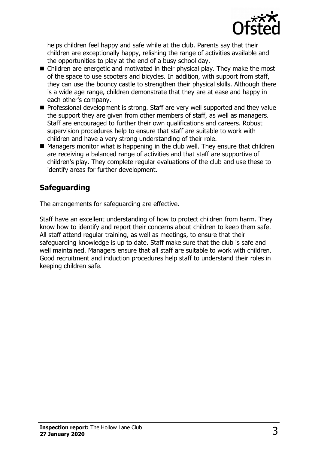

helps children feel happy and safe while at the club. Parents say that their children are exceptionally happy, relishing the range of activities available and the opportunities to play at the end of a busy school day.

- $\blacksquare$  Children are energetic and motivated in their physical play. They make the most of the space to use scooters and bicycles. In addition, with support from staff, they can use the bouncy castle to strengthen their physical skills. Although there is a wide age range, children demonstrate that they are at ease and happy in each other's company.
- Professional development is strong. Staff are very well supported and they value the support they are given from other members of staff, as well as managers. Staff are encouraged to further their own qualifications and careers. Robust supervision procedures help to ensure that staff are suitable to work with children and have a very strong understanding of their role.
- $\blacksquare$  Managers monitor what is happening in the club well. They ensure that children are receiving a balanced range of activities and that staff are supportive of children's play. They complete regular evaluations of the club and use these to identify areas for further development.

# **Safeguarding**

The arrangements for safeguarding are effective.

Staff have an excellent understanding of how to protect children from harm. They know how to identify and report their concerns about children to keep them safe. All staff attend regular training, as well as meetings, to ensure that their safeguarding knowledge is up to date. Staff make sure that the club is safe and well maintained. Managers ensure that all staff are suitable to work with children. Good recruitment and induction procedures help staff to understand their roles in keeping children safe.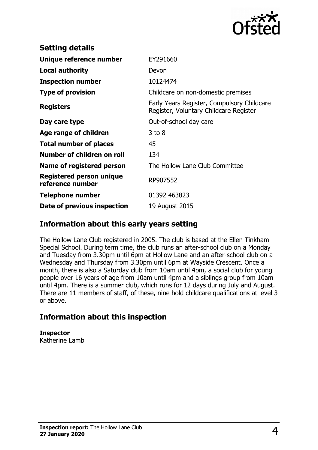

| <b>Setting details</b>                       |                                                                                      |
|----------------------------------------------|--------------------------------------------------------------------------------------|
| Unique reference number                      | EY291660                                                                             |
| Local authority                              | Devon                                                                                |
| <b>Inspection number</b>                     | 10124474                                                                             |
| <b>Type of provision</b>                     | Childcare on non-domestic premises                                                   |
| <b>Registers</b>                             | Early Years Register, Compulsory Childcare<br>Register, Voluntary Childcare Register |
| Day care type                                | Out-of-school day care                                                               |
| Age range of children                        | $3$ to $8$                                                                           |
| <b>Total number of places</b>                | 45                                                                                   |
| Number of children on roll                   | 134                                                                                  |
| Name of registered person                    | The Hollow Lane Club Committee                                                       |
| Registered person unique<br>reference number | RP907552                                                                             |
| <b>Telephone number</b>                      | 01392 463823                                                                         |
| Date of previous inspection                  | 19 August 2015                                                                       |

### **Information about this early years setting**

The Hollow Lane Club registered in 2005. The club is based at the Ellen Tinkham Special School. During term time, the club runs an after-school club on a Monday and Tuesday from 3.30pm until 6pm at Hollow Lane and an after-school club on a Wednesday and Thursday from 3.30pm until 6pm at Wayside Crescent. Once a month, there is also a Saturday club from 10am until 4pm, a social club for young people over 16 years of age from 10am until 4pm and a siblings group from 10am until 4pm. There is a summer club, which runs for 12 days during July and August. There are 11 members of staff, of these, nine hold childcare qualifications at level 3 or above.

## **Information about this inspection**

**Inspector** Katherine Lamb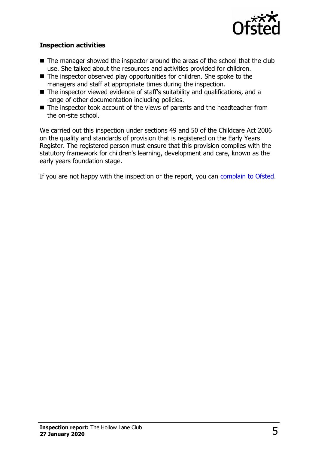

#### **Inspection activities**

- $\blacksquare$  The manager showed the inspector around the areas of the school that the club use. She talked about the resources and activities provided for children.
- $\blacksquare$  The inspector observed play opportunities for children. She spoke to the managers and staff at appropriate times during the inspection.
- $\blacksquare$  The inspector viewed evidence of staff's suitability and qualifications, and a range of other documentation including policies.
- $\blacksquare$  The inspector took account of the views of parents and the headteacher from the on-site school.

We carried out this inspection under sections 49 and 50 of the Childcare Act 2006 on the quality and standards of provision that is registered on the Early Years Register. The registered person must ensure that this provision complies with the statutory framework for children's learning, development and care, known as the early years foundation stage.

If you are not happy with the inspection or the report, you can [complain to Ofsted.](http://www.gov.uk/complain-ofsted-report)